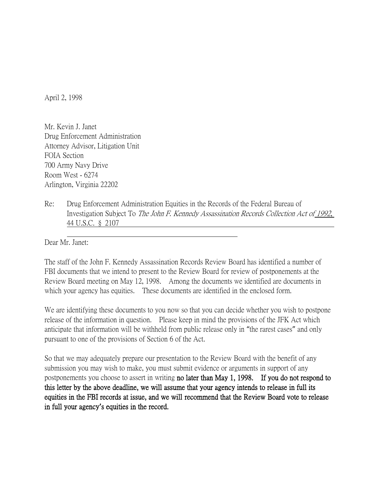April 2, 1998

Mr. Kevin J. Janet Drug Enforcement Administration Attorney Advisor, Litigation Unit FOIA Section 700 Army Navy Drive Room West - 6274 Arlington, Virginia 22202

Re: Drug Enforcement Administration Equities in the Records of the Federal Bureau of Investigation Subject To The John F. Kennedy Assassination Records Collection Act of 1992, 44 U.S.C. § 2107

 Dear Mr. Janet:

The staff of the John F. Kennedy Assassination Records Review Board has identified a number of FBI documents that we intend to present to the Review Board for review of postponements at the Review Board meeting on May 12, 1998. Among the documents we identified are documents in which your agency has equities. These documents are identified in the enclosed form.

We are identifying these documents to you now so that you can decide whether you wish to postpone release of the information in question. Please keep in mind the provisions of the JFK Act which anticipate that information will be withheld from public release only in "the rarest cases" and only pursuant to one of the provisions of Section 6 of the Act.

So that we may adequately prepare our presentation to the Review Board with the benefit of any submission you may wish to make, you must submit evidence or arguments in support of any postponements you choose to assert in writing no later than May 1, 1998. If you do not respond to this letter by the above deadline, we will assume that your agency intends to release in full its equities in the FBI records at issue, and we will recommend that the Review Board vote to release in full your agency**'**s equities in the record.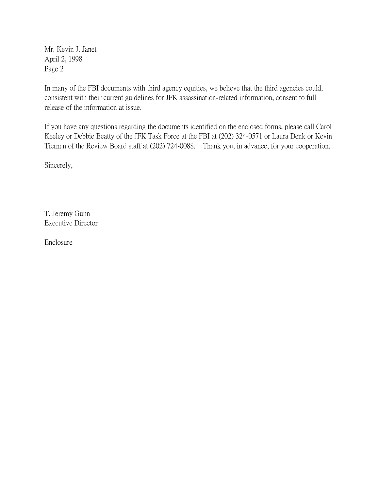Mr. Kevin J. Janet April 2, 1998 Page 2

In many of the FBI documents with third agency equities, we believe that the third agencies could, consistent with their current guidelines for JFK assassination-related information, consent to full release of the information at issue.

If you have any questions regarding the documents identified on the enclosed forms, please call Carol Keeley or Debbie Beatty of the JFK Task Force at the FBI at (202) 324-0571 or Laura Denk or Kevin Tiernan of the Review Board staff at (202) 724-0088. Thank you, in advance, for your cooperation.

Sincerely,

T. Jeremy Gunn Executive Director

Enclosure